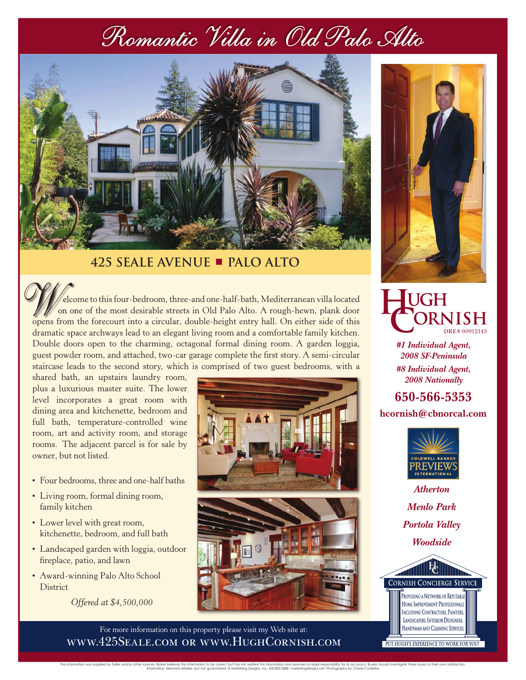# *Romantic Villa in Old Palo Alto*



#### **425 SEALE AVENUE** ■ **PALO ALTO**

elcome to this four-bedroom, three-and one-half-bath, Mediterranean villa located on one of the most desirable streets in Old Palo Alto. A rough-hewn, plank door opens from the forecourt into a circular, double-height entry hall. On either side of this dramatic space archways lead to an elegant living room and a comfortable family kitchen. Double doors open to the charming, octagonal formal dining room. A garden loggia, guest powder room, and attached, two-car garage complete the first story. A semi-circular staircase leads to the second story, which is comprised of two guest bedrooms, with a

shared bath, an upstairs laundry room, plus a luxurious master suite. The lower level incorporates a great room with dining area and kitchenette, bedroom and full bath, temperature-controlled wine room, art and activity room, and storage rooms. The adjacent parcel is for sale by owner, but not listed.

- Four bedrooms, three and one-half baths
- Living room, formal dining room, family kitchen
- Lower level with great room, kitchenette, bedroom, and full bath
- Landscaped garden with loggia, outdoor fireplace, patio, and lawn
- Award-winning Palo Alto School **District**

*Offered at \$4,500,000*









*#1 Individual Agent, 2008 SF-Peninsula*

*#8 Individual Agent, 2008 Nationally*

#### **650-566-5353 hcornish@cbnorcal.com**



*Atherton Menlo Park Portola Valley Woodside*



HANDYMAN AND CLEANING SERVICES PUT HUGH'S EXPERIENCE TO WORK FOR YOU

This information was supplied by Seller and/or other sources. Boker believes this information to e concerc but has not verified this information and susumes no legal responsibility for its accuracy. By press incomperation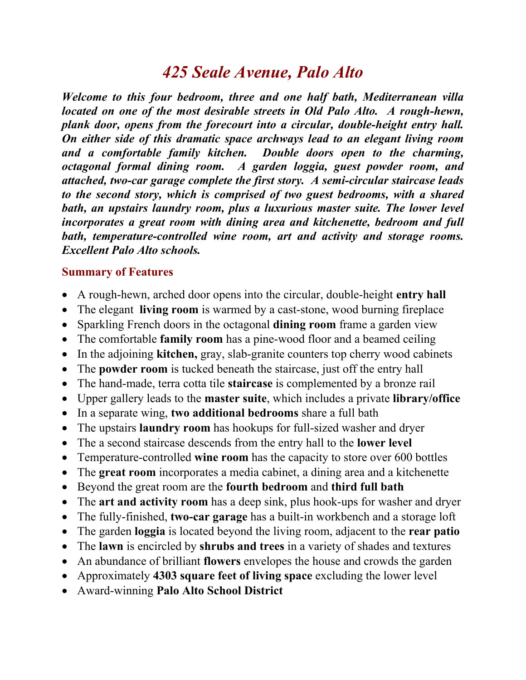# *425 Seale Avenue, Palo Alto*

*Welcome to this four bedroom, three and one half bath, Mediterranean villa located on one of the most desirable streets in Old Palo Alto. A rough-hewn, plank door, opens from the forecourt into a circular, double-height entry hall. On either side of this dramatic space archways lead to an elegant living room and a comfortable family kitchen. Double doors open to the charming, octagonal formal dining room. A garden loggia, guest powder room, and attached, two-car garage complete the first story. A semi-circular staircase leads to the second story, which is comprised of two guest bedrooms, with a shared*  bath, an upstairs laundry room, plus a luxurious master suite. The lower level *incorporates a great room with dining area and kitchenette, bedroom and full bath, temperature-controlled wine room, art and activity and storage rooms. Excellent Palo Alto schools.*

#### **Summary of Features**

- A rough-hewn, arched door opens into the circular, double-height **entry hall**
- The elegant **living room** is warmed by a cast-stone, wood burning fireplace
- Sparkling French doors in the octagonal **dining room** frame a garden view
- The comfortable **family room** has a pine-wood floor and a beamed ceiling
- In the adjoining **kitchen,** gray, slab-granite counters top cherry wood cabinets
- The **powder room** is tucked beneath the staircase, just off the entry hall
- The hand-made, terra cotta tile **staircase** is complemented by a bronze rail
- Upper gallery leads to the **master suite**, which includes a private **library/office**
- In a separate wing, **two additional bedrooms** share a full bath
- The upstairs **laundry room** has hookups for full-sized washer and dryer
- The a second staircase descends from the entry hall to the **lower level**
- Temperature-controlled **wine room** has the capacity to store over 600 bottles
- The **great room** incorporates a media cabinet, a dining area and a kitchenette
- Beyond the great room are the **fourth bedroom** and **third full bath**
- The **art and activity room** has a deep sink, plus hook-ups for washer and dryer
- The fully-finished, **two-car garage** has a built-in workbench and a storage loft
- The garden **loggia** is located beyond the living room, adjacent to the **rear patio**
- The **lawn** is encircled by **shrubs and trees** in a variety of shades and textures
- An abundance of brilliant **flowers** envelopes the house and crowds the garden
- Approximately **4303 square feet of living space** excluding the lower level
- Award-winning **Palo Alto School District**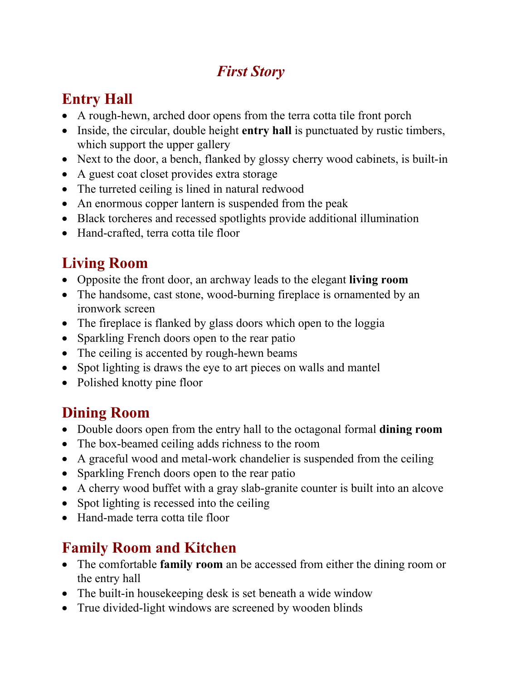# *First Story*

# **Entry Hall**

- A rough-hewn, arched door opens from the terra cotta tile front porch
- Inside, the circular, double height **entry hall** is punctuated by rustic timbers, which support the upper gallery
- Next to the door, a bench, flanked by glossy cherry wood cabinets, is built-in
- A guest coat closet provides extra storage
- The turreted ceiling is lined in natural redwood
- An enormous copper lantern is suspended from the peak
- Black torcheres and recessed spotlights provide additional illumination
- Hand-crafted, terra cotta tile floor

# **Living Room**

- Opposite the front door, an archway leads to the elegant **living room**
- The handsome, cast stone, wood-burning fireplace is ornamented by an ironwork screen
- The fireplace is flanked by glass doors which open to the loggia
- Sparkling French doors open to the rear patio
- The ceiling is accented by rough-hewn beams
- Spot lighting is draws the eye to art pieces on walls and mantel
- Polished knotty pine floor

# **Dining Room**

- Double doors open from the entry hall to the octagonal formal **dining room**
- The box-beamed ceiling adds richness to the room
- A graceful wood and metal-work chandelier is suspended from the ceiling
- Sparkling French doors open to the rear patio
- A cherry wood buffet with a gray slab-granite counter is built into an alcove
- Spot lighting is recessed into the ceiling
- Hand-made terra cotta tile floor

# **Family Room and Kitchen**

- The comfortable **family room** an be accessed from either the dining room or the entry hall
- The built-in house keeping desk is set beneath a wide window
- True divided-light windows are screened by wooden blinds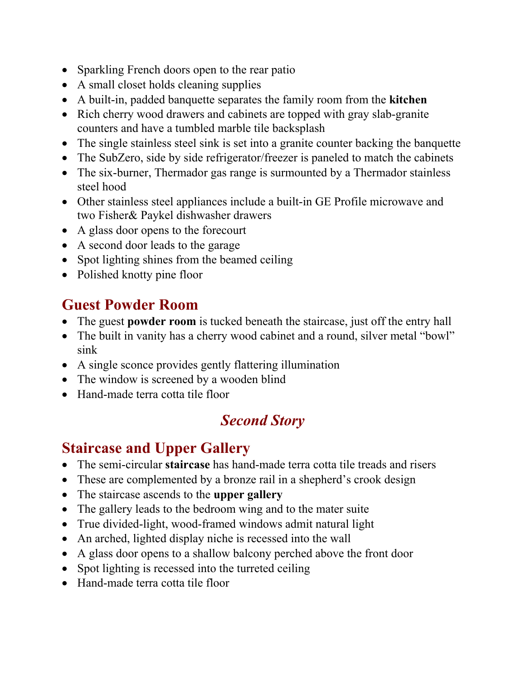- Sparkling French doors open to the rear patio
- A small closet holds cleaning supplies
- A built-in, padded banquette separates the family room from the **kitchen**
- Rich cherry wood drawers and cabinets are topped with gray slab-granite counters and have a tumbled marble tile backsplash
- The single stainless steel sink is set into a granite counter backing the banquette
- The SubZero, side by side refrigerator/freezer is paneled to match the cabinets
- The six-burner, Thermador gas range is surmounted by a Thermador stainless steel hood
- Other stainless steel appliances include a built-in GE Profile microwave and two Fisher& Paykel dishwasher drawers
- A glass door opens to the forecourt
- A second door leads to the garage
- Spot lighting shines from the beamed ceiling
- Polished knotty pine floor

#### **Guest Powder Room**

- The guest **powder room** is tucked beneath the staircase, just off the entry hall
- The built in vanity has a cherry wood cabinet and a round, silver metal "bowl" sink
- A single sconce provides gently flattering illumination
- The window is screened by a wooden blind
- Hand-made terra cotta tile floor

# *Second Story*

### **Staircase and Upper Gallery**

- The semi-circular **staircase** has hand-made terra cotta tile treads and risers
- These are complemented by a bronze rail in a shepherd's crook design
- The staircase ascends to the **upper gallery**
- The gallery leads to the bedroom wing and to the mater suite
- True divided-light, wood-framed windows admit natural light
- An arched, lighted display niche is recessed into the wall
- A glass door opens to a shallow balcony perched above the front door
- Spot lighting is recessed into the turreted ceiling
- Hand-made terra cotta tile floor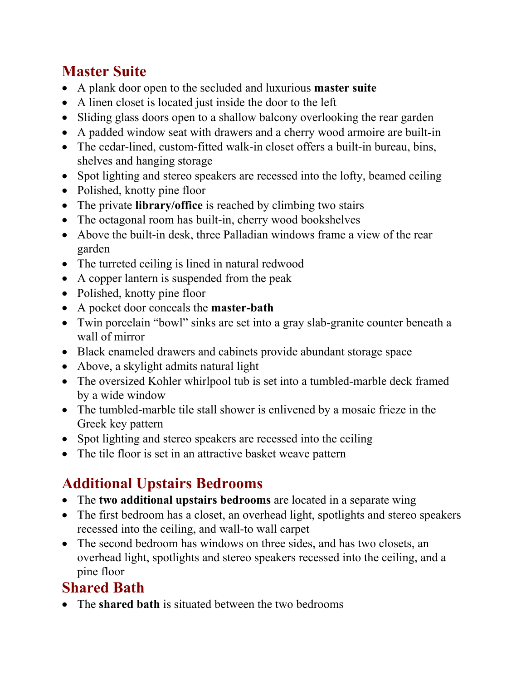# **Master Suite**

- A plank door open to the secluded and luxurious **master suite**
- A linen closet is located just inside the door to the left
- Sliding glass doors open to a shallow balcony overlooking the rear garden
- A padded window seat with drawers and a cherry wood armoire are built-in
- The cedar-lined, custom-fitted walk-in closet offers a built-in bureau, bins, shelves and hanging storage
- Spot lighting and stereo speakers are recessed into the lofty, beamed ceiling
- Polished, knotty pine floor
- The private **library/office** is reached by climbing two stairs
- The octagonal room has built-in, cherry wood bookshelves
- Above the built-in desk, three Palladian windows frame a view of the rear garden
- The turreted ceiling is lined in natural redwood
- A copper lantern is suspended from the peak
- Polished, knotty pine floor
- A pocket door conceals the **master-bath**
- Twin porcelain "bowl" sinks are set into a gray slab-granite counter beneath a wall of mirror
- Black enameled drawers and cabinets provide abundant storage space
- Above, a skylight admits natural light
- The oversized Kohler whirlpool tub is set into a tumbled-marble deck framed by a wide window
- The tumbled-marble tile stall shower is enlivened by a mosaic frieze in the Greek key pattern
- Spot lighting and stereo speakers are recessed into the ceiling
- The tile floor is set in an attractive basket weave pattern

# **Additional Upstairs Bedrooms**

- The **two additional upstairs bedrooms** are located in a separate wing
- The first bedroom has a closet, an overhead light, spotlights and stereo speakers recessed into the ceiling, and wall-to wall carpet
- The second bedroom has windows on three sides, and has two closets, an overhead light, spotlights and stereo speakers recessed into the ceiling, and a pine floor

# **Shared Bath**

• The **shared bath** is situated between the two bedrooms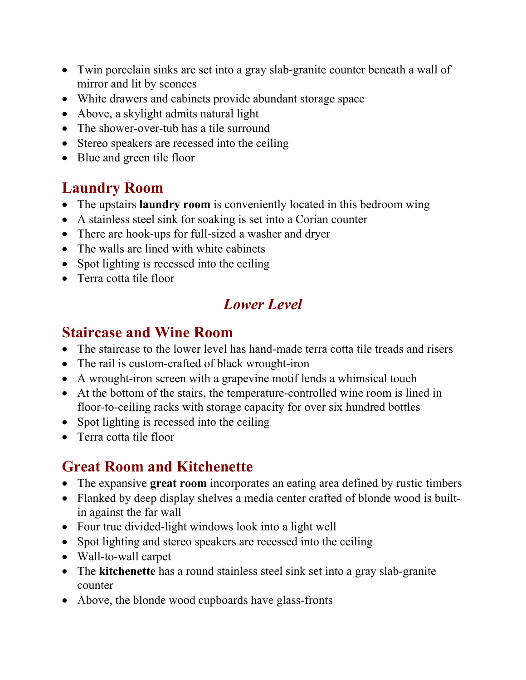- Twin porcelain sinks are set into a gray slab-granite counter beneath a wall of mirror and lit by sconces
- White drawers and cabinets provide abundant storage space
- Above, a skylight admits natural light
- The shower-over-tub has a tile surround
- Stereo speakers are recessed into the ceiling
- Blue and green tile floor

# **Laundry Room**

- The upstairs **laundry room** is conveniently located in this bedroom wing
- A stainless steel sink for soaking is set into a Corian counter
- There are hook-ups for full-sized a washer and dryer
- The walls are lined with white cabinets
- Spot lighting is recessed into the ceiling
- Terra cotta tile floor

### *Lower Level*

#### **Staircase and Wine Room**

- The staircase to the lower level has hand-made terra cotta tile treads and risers
- The rail is custom-crafted of black wrought-iron
- A wrought-iron screen with a grapevine motif lends a whimsical touch
- At the bottom of the stairs, the temperature-controlled wine room is lined in floor-to-ceiling racks with storage capacity for over six hundred bottles
- Spot lighting is recessed into the ceiling
- Terra cotta tile floor

### **Great Room and Kitchenette**

- The expansive **great room** incorporates an eating area defined by rustic timbers
- Flanked by deep display shelves a media center crafted of blonde wood is builtin against the far wall
- Four true divided-light windows look into a light well
- Spot lighting and stereo speakers are recessed into the ceiling
- Wall-to-wall carpet
- The **kitchenette** has a round stainless steel sink set into a gray slab-granite counter
- Above, the blonde wood cupboards have glass-fronts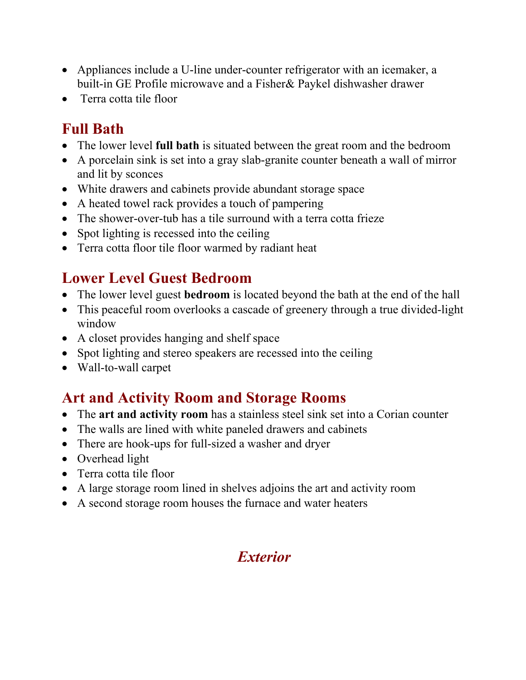- Appliances include a U-line under-counter refrigerator with an icemaker, a built-in GE Profile microwave and a Fisher& Paykel dishwasher drawer
- Terra cotta tile floor

# **Full Bath**

- The lower level **full bath** is situated between the great room and the bedroom
- A porcelain sink is set into a gray slab-granite counter beneath a wall of mirror and lit by sconces
- White drawers and cabinets provide abundant storage space
- A heated towel rack provides a touch of pampering
- The shower-over-tub has a tile surround with a terra cotta frieze
- Spot lighting is recessed into the ceiling
- Terra cotta floor tile floor warmed by radiant heat

### **Lower Level Guest Bedroom**

- The lower level guest **bedroom** is located beyond the bath at the end of the hall
- This peaceful room overlooks a cascade of greenery through a true divided-light window
- A closet provides hanging and shelf space
- Spot lighting and stereo speakers are recessed into the ceiling
- Wall-to-wall carpet

### **Art and Activity Room and Storage Rooms**

- The **art and activity room** has a stainless steel sink set into a Corian counter
- The walls are lined with white paneled drawers and cabinets
- There are hook-ups for full-sized a washer and dryer
- Overhead light
- Terra cotta tile floor
- A large storage room lined in shelves adjoins the art and activity room
- A second storage room houses the furnace and water heaters

### *Exterior*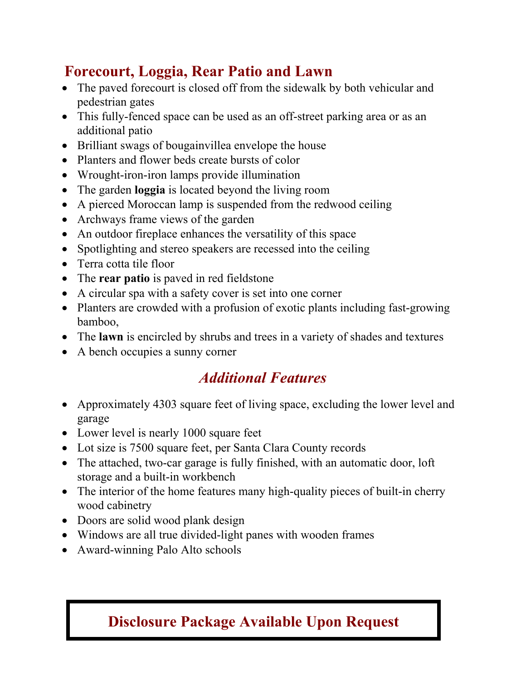# **Forecourt, Loggia, Rear Patio and Lawn**

- The paved forecourt is closed off from the sidewalk by both vehicular and pedestrian gates
- This fully-fenced space can be used as an off-street parking area or as an additional patio
- Brilliant swags of bougainvillea envelope the house
- Planters and flower beds create bursts of color
- Wrought-iron-iron lamps provide illumination
- The garden **loggia** is located beyond the living room
- A pierced Moroccan lamp is suspended from the redwood ceiling
- Archways frame views of the garden
- An outdoor fireplace enhances the versatility of this space
- Spotlighting and stereo speakers are recessed into the ceiling
- Terra cotta tile floor
- The **rear patio** is paved in red fieldstone
- A circular spa with a safety cover is set into one corner
- Planters are crowded with a profusion of exotic plants including fast-growing bamboo,
- The **lawn** is encircled by shrubs and trees in a variety of shades and textures
- A bench occupies a sunny corner

# *Additional Features*

- Approximately 4303 square feet of living space, excluding the lower level and garage
- Lower level is nearly 1000 square feet
- Lot size is 7500 square feet, per Santa Clara County records
- The attached, two-car garage is fully finished, with an automatic door, loft storage and a built-in workbench
- The interior of the home features many high-quality pieces of built-in cherry wood cabinetry
- Doors are solid wood plank design
- Windows are all true divided-light panes with wooden frames
- Award-winning Palo Alto schools

# **Disclosure Package Available Upon Request**